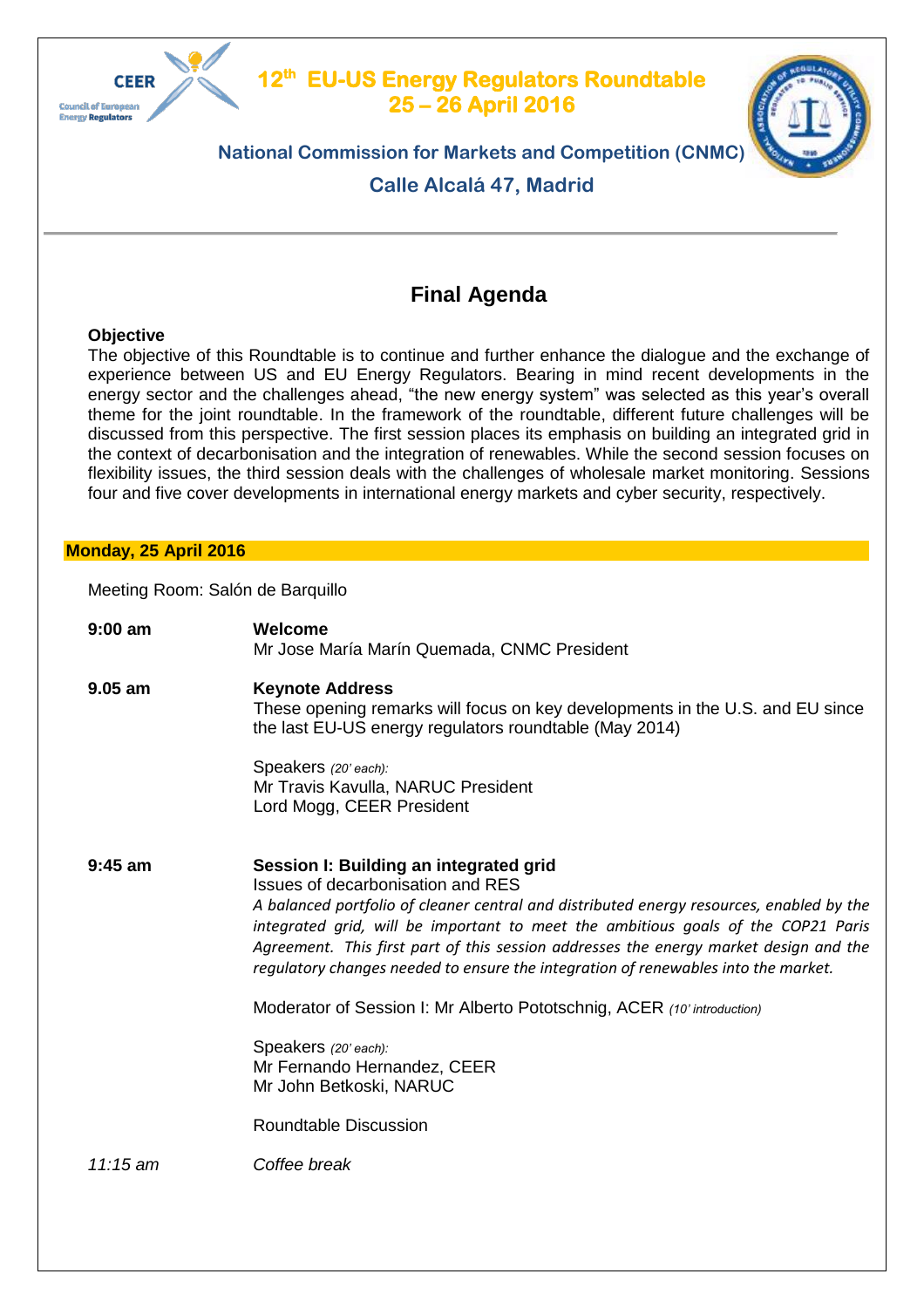

#### **12th EU-US Energy Regulators Roundtable 25 – 26 April 2016**



# **National Commission for Markets and Competition (CNMC)**

**Calle Alcalá 47, Madrid**

# **Final Agenda**

# **Objective**

The objective of this Roundtable is to continue and further enhance the dialogue and the exchange of experience between US and EU Energy Regulators. Bearing in mind recent developments in the energy sector and the challenges ahead, "the new energy system" was selected as this year's overall theme for the joint roundtable. In the framework of the roundtable, different future challenges will be discussed from this perspective. The first session places its emphasis on building an integrated grid in the context of decarbonisation and the integration of renewables. While the second session focuses on flexibility issues, the third session deals with the challenges of wholesale market monitoring. Sessions four and five cover developments in international energy markets and cyber security, respectively.

# **Monday, 25 April 2016**

Meeting Room: Salón de Barquillo

| $9:00$ am  | Welcome<br>Mr Jose María Marín Quemada, CNMC President                                                                                                                                                                                                                                                                                                                                                                                      |
|------------|---------------------------------------------------------------------------------------------------------------------------------------------------------------------------------------------------------------------------------------------------------------------------------------------------------------------------------------------------------------------------------------------------------------------------------------------|
| $9.05$ am  | <b>Keynote Address</b><br>These opening remarks will focus on key developments in the U.S. and EU since<br>the last EU-US energy regulators roundtable (May 2014)                                                                                                                                                                                                                                                                           |
|            | Speakers (20' each):<br>Mr Travis Kavulla, NARUC President<br>Lord Mogg, CEER President                                                                                                                                                                                                                                                                                                                                                     |
| $9:45$ am  | Session I: Building an integrated grid<br>Issues of decarbonisation and RES<br>A balanced portfolio of cleaner central and distributed energy resources, enabled by the<br>integrated grid, will be important to meet the ambitious goals of the COP21 Paris<br>Agreement. This first part of this session addresses the energy market design and the<br>regulatory changes needed to ensure the integration of renewables into the market. |
|            | Moderator of Session I: Mr Alberto Pototschnig, ACER (10' introduction)                                                                                                                                                                                                                                                                                                                                                                     |
|            | Speakers (20' each):<br>Mr Fernando Hernandez, CEER<br>Mr John Betkoski, NARUC                                                                                                                                                                                                                                                                                                                                                              |
|            | <b>Roundtable Discussion</b>                                                                                                                                                                                                                                                                                                                                                                                                                |
| $11:15$ am | Coffee break                                                                                                                                                                                                                                                                                                                                                                                                                                |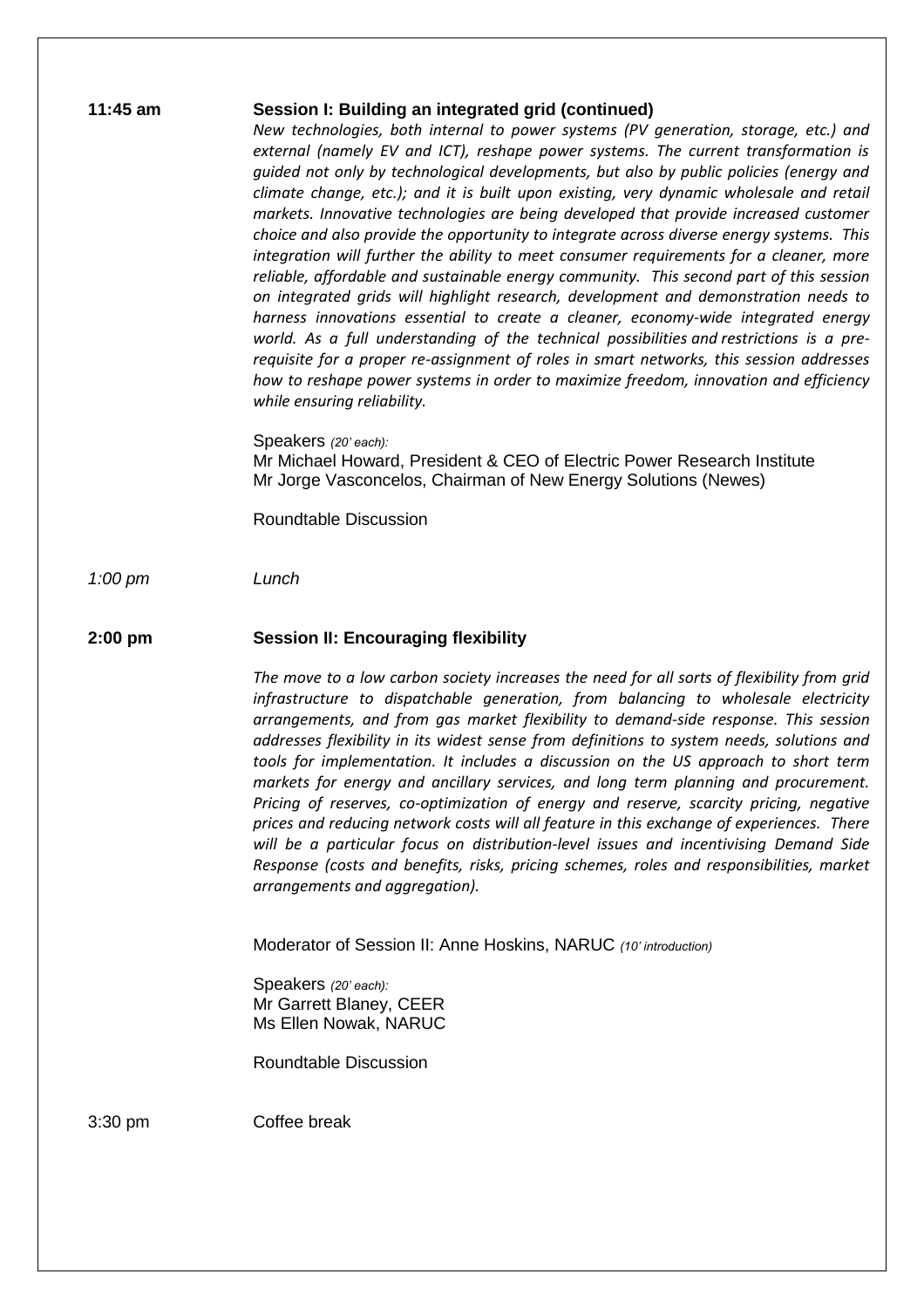| 1:45 am |  |
|---------|--|
|---------|--|

### **11:45 am Session I: Building an integrated grid (continued)**

*New technologies, both internal to power systems (PV generation, storage, etc.) and external (namely EV and ICT), reshape power systems. The current transformation is guided not only by technological developments, but also by public policies (energy and climate change, etc.); and it is built upon existing, very dynamic wholesale and retail markets. Innovative technologies are being developed that provide increased customer choice and also provide the opportunity to integrate across diverse energy systems. This integration will further the ability to meet consumer requirements for a cleaner, more reliable, affordable and sustainable energy community. This second part of this session on integrated grids will highlight research, development and demonstration needs to harness innovations essential to create a cleaner, economy-wide integrated energy world. As a full understanding of the technical possibilities and restrictions is a prerequisite for a proper re-assignment of roles in smart networks, this session addresses how to reshape power systems in order to maximize freedom, innovation and efficiency while ensuring reliability.*

Speakers *(20' each):* Mr Michael Howard, President & CEO of Electric Power Research Institute Mr Jorge Vasconcelos, Chairman of New Energy Solutions (Newes)

Roundtable Discussion

*1:00 pm Lunch* 

## **2:00 pm Session II: Encouraging flexibility**

*The move to a low carbon society increases the need for all sorts of flexibility from grid infrastructure to dispatchable generation, from balancing to wholesale electricity arrangements, and from gas market flexibility to demand-side response. This session addresses flexibility in its widest sense from definitions to system needs, solutions and tools for implementation. It includes a discussion on the US approach to short term markets for energy and ancillary services, and long term planning and procurement. Pricing of reserves, co-optimization of energy and reserve, scarcity pricing, negative prices and reducing network costs will all feature in this exchange of experiences. There will be a particular focus on distribution-level issues and incentivising Demand Side Response (costs and benefits, risks, pricing schemes, roles and responsibilities, market arrangements and aggregation).*

Moderator of Session II: Anne Hoskins, NARUC *(10' introduction)*

Speakers *(20' each):* Mr Garrett Blaney, CEER Ms Ellen Nowak, NARUC

Roundtable Discussion

3:30 pm Coffee break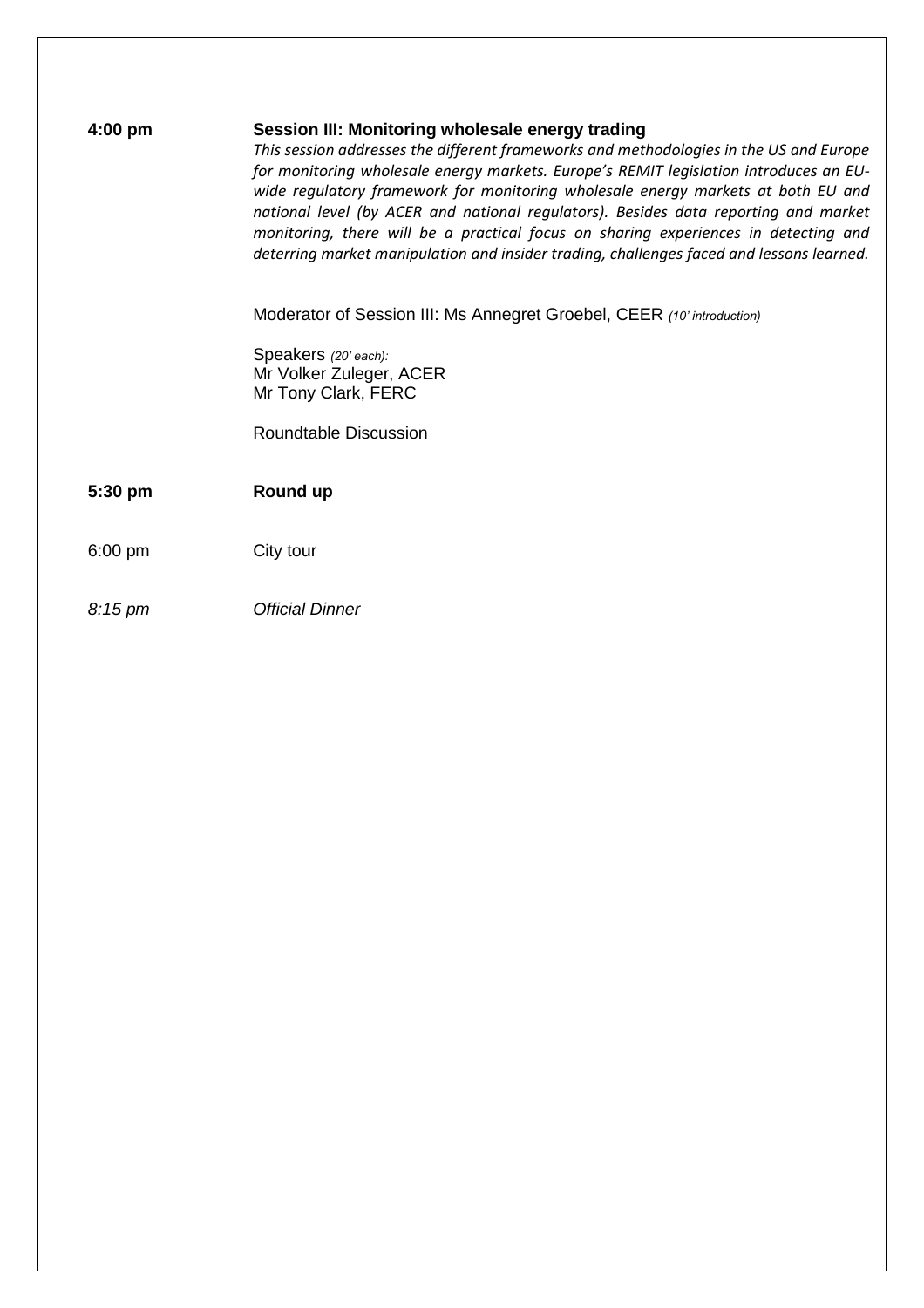| $4:00$ pm         | Session III: Monitoring wholesale energy trading<br>This session addresses the different frameworks and methodologies in the US and Europe<br>for monitoring wholesale energy markets. Europe's REMIT legislation introduces an EU-<br>wide regulatory framework for monitoring wholesale energy markets at both EU and<br>national level (by ACER and national regulators). Besides data reporting and market<br>monitoring, there will be a practical focus on sharing experiences in detecting and<br>deterring market manipulation and insider trading, challenges faced and lessons learned. |
|-------------------|---------------------------------------------------------------------------------------------------------------------------------------------------------------------------------------------------------------------------------------------------------------------------------------------------------------------------------------------------------------------------------------------------------------------------------------------------------------------------------------------------------------------------------------------------------------------------------------------------|
|                   | Moderator of Session III: Ms Annegret Groebel, CEER (10' introduction)                                                                                                                                                                                                                                                                                                                                                                                                                                                                                                                            |
|                   | Speakers (20' each):<br>Mr Volker Zuleger, ACER                                                                                                                                                                                                                                                                                                                                                                                                                                                                                                                                                   |
|                   | Mr Tony Clark, FERC                                                                                                                                                                                                                                                                                                                                                                                                                                                                                                                                                                               |
|                   | Roundtable Discussion                                                                                                                                                                                                                                                                                                                                                                                                                                                                                                                                                                             |
|                   |                                                                                                                                                                                                                                                                                                                                                                                                                                                                                                                                                                                                   |
| 5:30 pm           | Round up                                                                                                                                                                                                                                                                                                                                                                                                                                                                                                                                                                                          |
| $6:00$ pm         | City tour                                                                                                                                                                                                                                                                                                                                                                                                                                                                                                                                                                                         |
| $8:15 \text{ pm}$ | <b>Official Dinner</b>                                                                                                                                                                                                                                                                                                                                                                                                                                                                                                                                                                            |